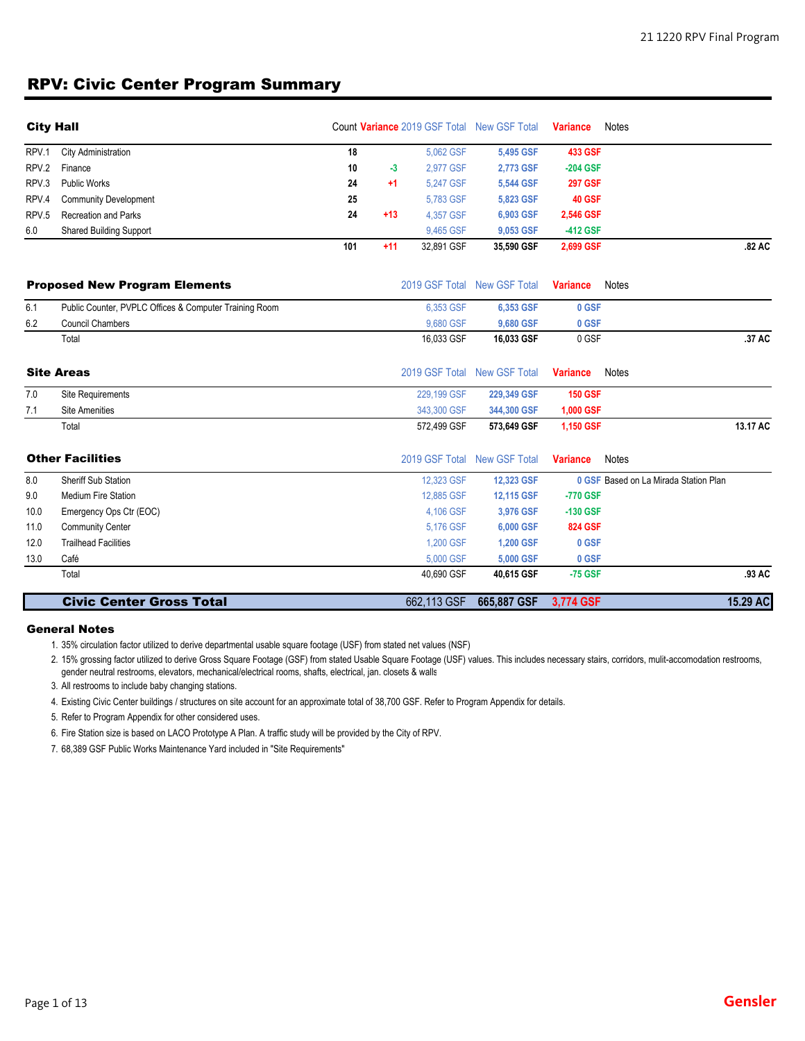### RPV: Civic Center Program Summary

| <b>City Hall</b> |                                                        |     |       |             | Count Variance 2019 GSF Total New GSF Total | <b>Variance</b> | Notes                                 |
|------------------|--------------------------------------------------------|-----|-------|-------------|---------------------------------------------|-----------------|---------------------------------------|
| RPV.1            | City Administration                                    | 18  |       | 5,062 GSF   | 5,495 GSF                                   | <b>433 GSF</b>  |                                       |
| RPV.2            | Finance                                                | 10  | $-3$  | 2.977 GSF   | 2,773 GSF                                   | $-204$ GSF      |                                       |
| RPV.3            | <b>Public Works</b>                                    | 24  | $+1$  | 5.247 GSF   | 5,544 GSF                                   | <b>297 GSF</b>  |                                       |
| RPV.4            | <b>Community Development</b>                           | 25  |       | 5,783 GSF   | 5,823 GSF                                   | 40 GSF          |                                       |
| RPV.5            | <b>Recreation and Parks</b>                            | 24  | $+13$ | 4.357 GSF   | 6,903 GSF                                   | 2,546 GSF       |                                       |
| 6.0              | <b>Shared Building Support</b>                         |     |       | 9,465 GSF   | 9,053 GSF                                   | -412 GSF        |                                       |
|                  |                                                        | 101 | $+11$ | 32,891 GSF  | 35,590 GSF                                  | 2,699 GSF       | .82 AC                                |
|                  | <b>Proposed New Program Elements</b>                   |     |       |             | 2019 GSF Total New GSF Total                | <b>Variance</b> | <b>Notes</b>                          |
| 6.1              | Public Counter, PVPLC Offices & Computer Training Room |     |       | 6,353 GSF   | 6,353 GSF                                   | 0 GSF           |                                       |
| 6.2              | <b>Council Chambers</b>                                |     |       | 9,680 GSF   | 9,680 GSF                                   | 0 GSF           |                                       |
|                  | Total                                                  |     |       | 16,033 GSF  | 16,033 GSF                                  | 0 GSF           | .37 AC                                |
|                  | <b>Site Areas</b>                                      |     |       |             | 2019 GSF Total New GSF Total                | <b>Variance</b> | Notes                                 |
| 7.0              | Site Requirements                                      |     |       | 229,199 GSF | 229,349 GSF                                 | <b>150 GSF</b>  |                                       |
| 7.1              | <b>Site Amenities</b>                                  |     |       | 343,300 GSF | 344,300 GSF                                 | 1,000 GSF       |                                       |
|                  | Total                                                  |     |       | 572,499 GSF | 573,649 GSF                                 | 1,150 GSF       | 13.17 AC                              |
|                  | <b>Other Facilities</b>                                |     |       |             | 2019 GSF Total New GSF Total                | <b>Variance</b> | <b>Notes</b>                          |
| 8.0              | <b>Sheriff Sub Station</b>                             |     |       | 12,323 GSF  | 12,323 GSF                                  |                 | 0 GSF Based on La Mirada Station Plan |
| 9.0              | <b>Medium Fire Station</b>                             |     |       | 12,885 GSF  | 12,115 GSF                                  | -770 GSF        |                                       |
| 10.0             | Emergency Ops Ctr (EOC)                                |     |       | 4,106 GSF   | 3,976 GSF                                   | -130 GSF        |                                       |
| 11.0             | Community Center                                       |     |       | 5.176 GSF   | 6,000 GSF                                   | <b>824 GSF</b>  |                                       |
| 12.0             | <b>Trailhead Facilities</b>                            |     |       | 1.200 GSF   | <b>1,200 GSF</b>                            | 0 GSF           |                                       |
| 13.0             | Café                                                   |     |       | 5.000 GSF   | 5,000 GSF                                   | 0 GSF           |                                       |
|                  | Total                                                  |     |       | 40,690 GSF  | 40,615 GSF                                  | $-75$ GSF       | .93 AC                                |
|                  | <b>Civic Center Gross Total</b>                        |     |       | 662,113 GSF | 665,887 GSF                                 | 3,774 GSF       | 15.29 AC                              |

#### General Notes

1. 35% circulation factor utilized to derive departmental usable square footage (USF) from stated net values (NSF)

2. 15% grossing factor utilized to derive Gross Square Footage (GSF) from stated Usable Square Footage (USF) values. This includes necessary stairs, corridors, mulit-accomodation restrooms, gender neutral restrooms, elevators, mechanical/electrical rooms, shafts, electrical, jan. closets & walls

3. All restrooms to include baby changing stations.

4. Existing Civic Center buildings / structures on site account for an approximate total of 38,700 GSF. Refer to Program Appendix for details.

5. Refer to Program Appendix for other considered uses.

6. Fire Station size is based on LACO Prototype A Plan. A traffic study will be provided by the City of RPV.

7. 68,389 GSF Public Works Maintenance Yard included in "Site Requirements"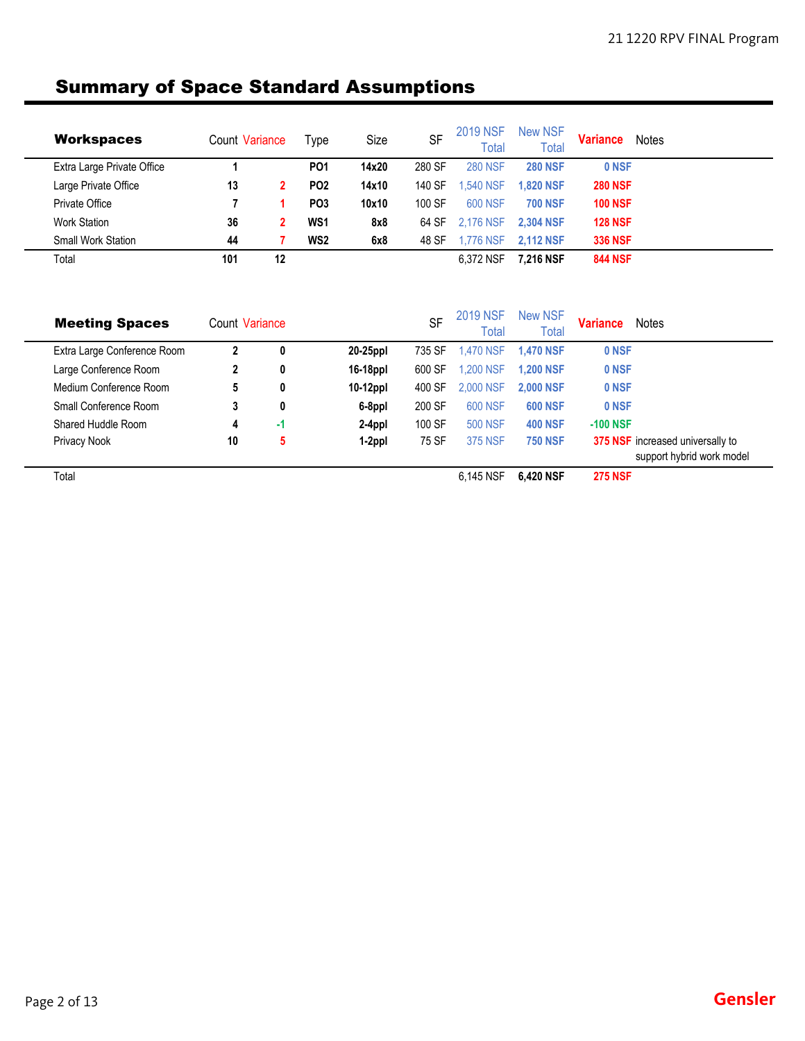## Summary of Space Standard Assumptions

| <b>Workspaces</b>          | Count Variance |    | Type            | Size  | <b>SF</b> | <b>2019 NSF</b><br>Total | New NSF<br>Total | <b>Variance</b> | Notes |
|----------------------------|----------------|----|-----------------|-------|-----------|--------------------------|------------------|-----------------|-------|
| Extra Large Private Office |                |    | PO <sub>1</sub> | 14x20 | 280 SF    | <b>280 NSF</b>           | <b>280 NSF</b>   | 0 NSF           |       |
| Large Private Office       | 13             |    | PO <sub>2</sub> | 14x10 | 140 SF    | .540 NSF                 | <b>1.820 NSF</b> | <b>280 NSF</b>  |       |
| Private Office             |                |    | PO <sub>3</sub> | 10x10 | 100 SF    | 600 NSF                  | <b>700 NSF</b>   | <b>100 NSF</b>  |       |
| <b>Work Station</b>        | 36             |    | WS <sub>1</sub> | 8x8   | 64 SF     | 2.176 NSF                | <b>2.304 NSF</b> | <b>128 NSF</b>  |       |
| <b>Small Work Station</b>  | 44             |    | WS <sub>2</sub> | 6x8   | 48 SF     | 1.776 NSF                | <b>2.112 NSF</b> | <b>336 NSF</b>  |       |
| Total                      | 101            | 12 |                 |       |           | 6.372 NSF                | 7.216 NSF        | <b>844 NSF</b>  |       |

| <b>Meeting Spaces</b>       | Count Variance |    |             | <b>SF</b> | <b>2019 NSF</b><br>Total | <b>New NSF</b><br><b>Total</b> | <b>Variance</b> | <b>Notes</b>                                                         |
|-----------------------------|----------------|----|-------------|-----------|--------------------------|--------------------------------|-----------------|----------------------------------------------------------------------|
| Extra Large Conference Room | 2              | 0  | 20-25ppl    | 735 SF    | <b>1.470 NSF</b>         | <b>1.470 NSF</b>               | 0 NSF           |                                                                      |
| Large Conference Room       | 2              | 0  | 16-18ppl    | 600 SF    | 1,200 NSF                | <b>1.200 NSF</b>               | 0 NSF           |                                                                      |
| Medium Conference Room      | 5              | 0  | $10-12$ ppl | 400 SF    | 2,000 NSF                | <b>2.000 NSF</b>               | 0 NSF           |                                                                      |
| Small Conference Room       | 3              | 0  | 6-8ppl      | 200 SF    | <b>600 NSF</b>           | <b>600 NSF</b>                 | 0 NSF           |                                                                      |
| Shared Huddle Room          | 4              | -1 | 2-4ppl      | 100 SF    | <b>500 NSF</b>           | <b>400 NSF</b>                 | $-100$ NSF      |                                                                      |
| Privacy Nook                | 10             | 5  | 1-2ppl      | 75 SF     | <b>375 NSF</b>           | <b>750 NSF</b>                 |                 | <b>375 NSF</b> increased universally to<br>support hybrid work model |
| Total                       |                |    |             |           | 6.145 NSF                | 6.420 NSF                      | <b>275 NSF</b>  |                                                                      |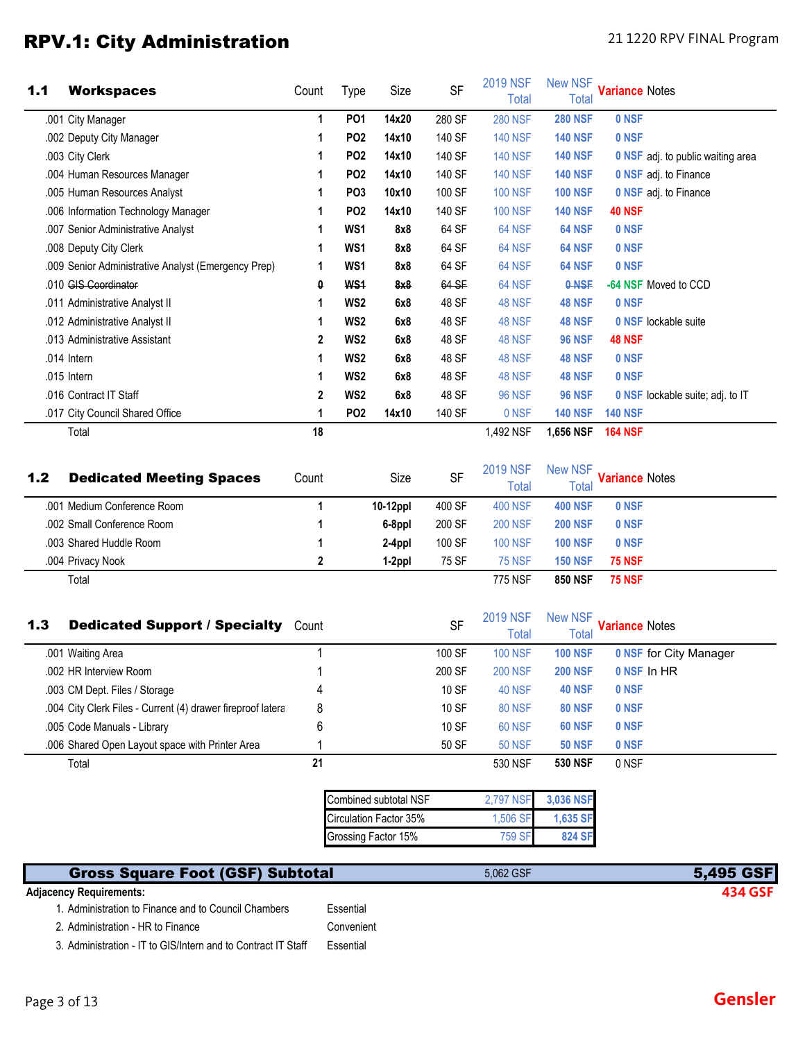### RPV.1: City Administration **Exercise 21 1220 RPV FINAL Program**

| 1.1 | <b>Workspaces</b>                                              | Count      | <b>Type</b>     | Size                   | <b>SF</b>           | <b>2019 NSF</b><br><b>Total</b>                   | <b>New NSF</b><br><b>Total</b>                   | <b>Variance Notes</b>                   |
|-----|----------------------------------------------------------------|------------|-----------------|------------------------|---------------------|---------------------------------------------------|--------------------------------------------------|-----------------------------------------|
|     | .001 City Manager                                              | 1          | PO <sub>1</sub> | 14x20                  | 280 SF              | <b>280 NSF</b>                                    | <b>280 NSF</b>                                   | 0 NSF                                   |
|     | .002 Deputy City Manager                                       | 1          | <b>PO2</b>      | 14x10                  | 140 SF              | <b>140 NSF</b>                                    | <b>140 NSF</b>                                   | 0 NSF                                   |
|     | .003 City Clerk                                                | 1          | <b>PO2</b>      | 14x10                  | 140 SF              | <b>140 NSF</b>                                    | <b>140 NSF</b>                                   | 0 NSF adj. to public waiting area       |
|     | .004 Human Resources Manager                                   | 1          | PO <sub>2</sub> | 14x10                  | 140 SF              | <b>140 NSF</b>                                    | <b>140 NSF</b>                                   | 0 NSF adj. to Finance                   |
|     | .005 Human Resources Analyst                                   | 1          | PO <sub>3</sub> | 10x10                  | 100 SF              | <b>100 NSF</b>                                    | <b>100 NSF</b>                                   | 0 NSF adj. to Finance                   |
|     | .006 Information Technology Manager                            | 1          | PO <sub>2</sub> | 14x10                  | 140 SF              | <b>100 NSF</b>                                    | <b>140 NSF</b>                                   | <b>40 NSF</b>                           |
|     | .007 Senior Administrative Analyst                             | 1          | WS1             | 8x8                    | 64 SF               | 64 NSF                                            | 64 NSF                                           | 0 NSF                                   |
|     | .008 Deputy City Clerk                                         | 1          | WS <sub>1</sub> | 8x8                    | 64 SF               | 64 NSF                                            | 64 NSF                                           | 0 NSF                                   |
|     | .009 Senior Administrative Analyst (Emergency Prep)            | 1          | WS1             | 8x8                    | 64 SF               | 64 NSF                                            | 64 NSF                                           | 0 NSF                                   |
|     | .010 GIS Coordinator                                           | 0          | <b>WS1</b>      | 8x8                    | 64 SF               | 64 NSF                                            | 0-NSF                                            | -64 NSF Moved to CCD                    |
|     | .011 Administrative Analyst II                                 | 1          | WS <sub>2</sub> | 6x8                    | 48 SF               | <b>48 NSF</b>                                     | <b>48 NSF</b>                                    | 0 NSF                                   |
|     | .012 Administrative Analyst II                                 | 1          | WS <sub>2</sub> | 6x8                    | 48 SF               | <b>48 NSF</b>                                     | <b>48 NSF</b>                                    | 0 NSF lockable suite                    |
|     | .013 Administrative Assistant                                  | 2          | WS <sub>2</sub> | 6x8                    | 48 SF               | <b>48 NSF</b>                                     | <b>96 NSF</b>                                    | <b>48 NSF</b>                           |
|     | .014 Intern                                                    | 1          | WS <sub>2</sub> | 6x8                    | 48 SF               | 48 NSF                                            | <b>48 NSF</b>                                    | 0 NSF                                   |
|     | .015 Intern                                                    | 1          | WS <sub>2</sub> | 6x8                    | 48 SF               | 48 NSF                                            | <b>48 NSF</b>                                    | 0 NSF                                   |
|     | .016 Contract IT Staff                                         | 2          | WS <sub>2</sub> | 6x8                    | 48 SF               | <b>96 NSF</b>                                     | <b>96 NSF</b>                                    | <b>0 NSF</b> lockable suite; adj. to IT |
|     | .017 City Council Shared Office                                | 1          | <b>PO2</b>      | 14x10                  | 140 SF              | 0 NSF                                             | <b>140 NSF</b>                                   | <b>140 NSF</b>                          |
|     | Total                                                          | 18         |                 |                        |                     | 1,492 NSF                                         | 1,656 NSF                                        | <b>164 NSF</b>                          |
| 1.2 | <b>Dedicated Meeting Spaces</b><br>.001 Medium Conference Room | Count<br>1 |                 | Size<br>10-12ppl       | <b>SF</b><br>400 SF | <b>2019 NSF</b><br><b>Total</b><br><b>400 NSF</b> | <b>New NSF</b><br><b>Total</b><br><b>400 NSF</b> | <b>Variance Notes</b><br>0 NSF          |
|     | .002 Small Conference Room                                     | 1          |                 | 6-8ppl                 | 200 SF              | <b>200 NSF</b>                                    | <b>200 NSF</b>                                   | 0 NSF                                   |
|     | .003 Shared Huddle Room                                        | 1          |                 | 2-4ppl                 | 100 SF              | <b>100 NSF</b>                                    | <b>100 NSF</b>                                   | 0 NSF                                   |
|     | .004 Privacy Nook                                              | 2          |                 | 1-2ppl                 | 75 SF               | <b>75 NSF</b>                                     | <b>150 NSF</b>                                   | <b>75 NSF</b>                           |
| 1.3 | Total<br><b>Dedicated Support / Specialty Count</b>            |            |                 |                        | <b>SF</b>           | 775 NSF<br><b>2019 NSF</b><br><b>Total</b>        | <b>850 NSF</b><br><b>New NSF</b><br><b>Total</b> | <b>75 NSF</b><br><b>Variance Notes</b>  |
|     | .001 Waiting Area                                              | 1          |                 |                        | 100 SF              | <b>100 NSF</b>                                    | <b>100 NSF</b>                                   | <b>0 NSF for City Manager</b>           |
|     | .002 HR Interview Room                                         |            |                 |                        | 200 SF              | <b>200 NSF</b>                                    | <b>200 NSF</b>                                   | 0 NSF In HR                             |
|     | .003 CM Dept. Files / Storage                                  | 4          |                 |                        | 10 SF               | 40 NSF                                            | <b>40 NSF</b>                                    | 0 NSF                                   |
|     | .004 City Clerk Files - Current (4) drawer fireproof latera    | 8          |                 |                        | 10 SF               | <b>80 NSF</b>                                     | <b>80 NSF</b>                                    | 0 NSF                                   |
|     | .005 Code Manuals - Library                                    | 6          |                 |                        | 10 SF               | 60 NSF                                            | <b>60 NSF</b>                                    | 0 NSF                                   |
|     | .006 Shared Open Layout space with Printer Area                |            |                 |                        | 50 SF               | <b>50 NSF</b>                                     | <b>50 NSF</b>                                    | 0 NSF                                   |
|     | Total                                                          | 21         |                 |                        |                     | 530 NSF                                           | <b>530 NSF</b>                                   | 0 NSF                                   |
|     |                                                                |            |                 | Combined subtotal NSF  |                     | 2,797 NSF                                         | 3,036 NSF                                        |                                         |
|     |                                                                |            |                 | Circulation Factor 35% |                     | 1,506 SF                                          | 1,635 SF                                         |                                         |
|     |                                                                |            |                 | Grossing Factor 15%    |                     | <b>759 SF</b>                                     | 824 SF                                           |                                         |
|     |                                                                |            |                 |                        |                     |                                                   |                                                  |                                         |
|     | <b>Gross Square Foot (GSF) Subtotal</b>                        |            |                 |                        |                     | 5,062 GSF                                         |                                                  | 5,495 GSF                               |

#### **Adjacency Requirements: 434 GSF**

| 1. Administration to Finance and to Council Chambers | Essential  |
|------------------------------------------------------|------------|
| 2. Administration - HR to Finance                    | Convenient |

3. Administration - IT to GIS/Intern and to Contract IT Staff Essential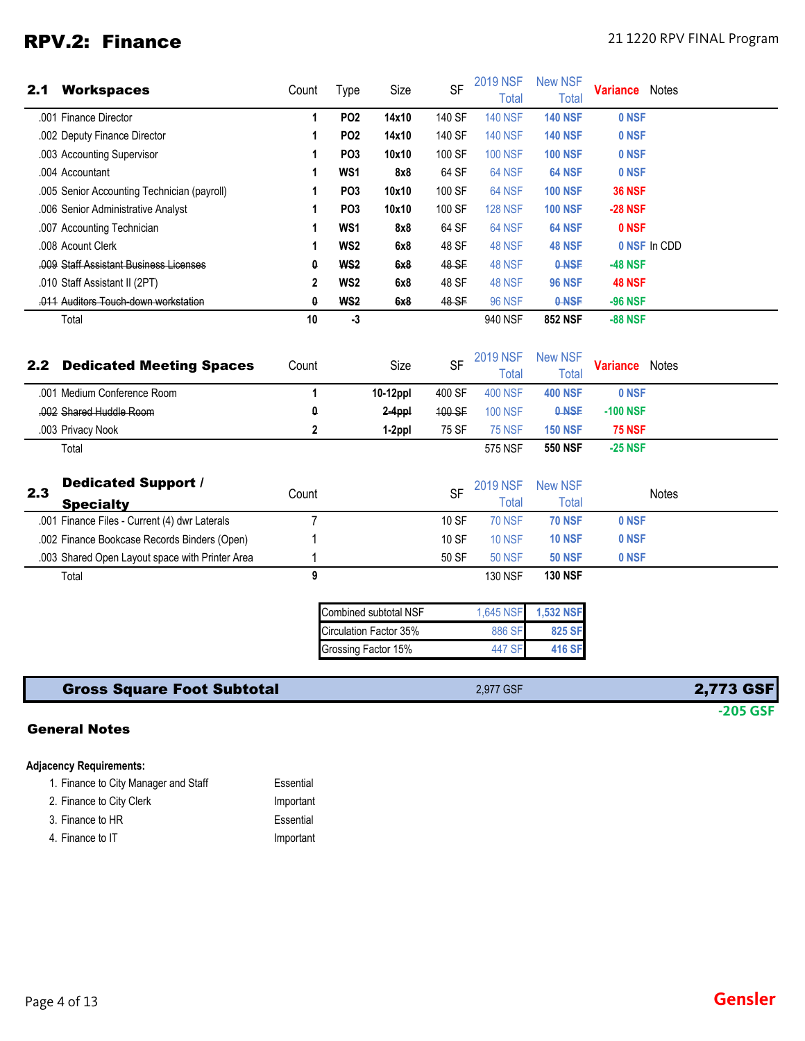## RPV.2: Finance 21 1220 RPV FINAL Program

| 2.1 | <b>Workspaces</b>                               | Count                 | Type            | Size                                                                   | <b>SF</b> | <b>2019 NSF</b><br>Total        | <b>New NSF</b><br><b>Total</b>       | <b>Variance</b> Notes |              |
|-----|-------------------------------------------------|-----------------------|-----------------|------------------------------------------------------------------------|-----------|---------------------------------|--------------------------------------|-----------------------|--------------|
|     | .001 Finance Director                           | $\mathbf{1}$          | PO <sub>2</sub> | 14x10                                                                  | 140 SF    | <b>140 NSF</b>                  | <b>140 NSF</b>                       | 0 NSF                 |              |
|     | .002 Deputy Finance Director                    | 1                     | PO <sub>2</sub> | 14x10                                                                  | 140 SF    | <b>140 NSF</b>                  | <b>140 NSF</b>                       | 0 NSF                 |              |
|     | .003 Accounting Supervisor                      | 1                     | PO <sub>3</sub> | 10x10                                                                  | 100 SF    | <b>100 NSF</b>                  | <b>100 NSF</b>                       | 0 NSF                 |              |
|     | .004 Accountant                                 | 1                     | WS1             | 8x8                                                                    | 64 SF     | 64 NSF                          | 64 NSF                               | 0 NSF                 |              |
|     | .005 Senior Accounting Technician (payroll)     | 1                     | PO <sub>3</sub> | 10x10                                                                  | 100 SF    | 64 NSF                          | <b>100 NSF</b>                       | <b>36 NSF</b>         |              |
|     | .006 Senior Administrative Analyst              | 1                     | PO <sub>3</sub> | 10x10                                                                  | 100 SF    | <b>128 NSF</b>                  | <b>100 NSF</b>                       | <b>-28 NSF</b>        |              |
|     | .007 Accounting Technician                      | 1                     | WS1             | 8x8                                                                    | 64 SF     | 64 NSF                          | 64 NSF                               | 0 NSF                 |              |
|     | .008 Acount Clerk                               | 1                     | WS <sub>2</sub> | 6x8                                                                    | 48 SF     | 48 NSF                          | <b>48 NSF</b>                        |                       | 0 NSF In CDD |
|     | .009 Staff Assistant Business Licenses          | 0                     | WS <sub>2</sub> | 6x8                                                                    | 48 SF     | 48 NSF                          | 0-NSF                                | <b>-48 NSF</b>        |              |
|     | .010 Staff Assistant II (2PT)                   | $\mathbf{2}$          | WS2             | 6x8                                                                    | 48 SF     | 48 NSF                          | <b>96 NSF</b>                        | <b>48 NSF</b>         |              |
|     | .011 Auditors Touch down workstation            | $\boldsymbol{\theta}$ | WS <sub>2</sub> | 6x8                                                                    | 48 SF     | <b>96 NSF</b>                   | 0-NSF                                | <b>-96 NSF</b>        |              |
|     | Total                                           | 10                    | $-3$            |                                                                        |           | 940 NSF                         | <b>852 NSF</b>                       | <b>-88 NSF</b>        |              |
| 2.2 | <b>Dedicated Meeting Spaces</b>                 | Count                 |                 | Size                                                                   | <b>SF</b> | <b>2019 NSF</b><br><b>Total</b> | <b>New NSF</b><br><b>Total</b>       | <b>Variance</b> Notes |              |
|     | .001 Medium Conference Room                     | $\mathbf{1}$          |                 | 10-12ppl                                                               | 400 SF    | <b>400 NSF</b>                  | <b>400 NSF</b>                       | 0 NSF                 |              |
|     | .002 Shared Huddle Room                         | 0                     |                 | 2-4ppl                                                                 | 100 SF    | <b>100 NSF</b>                  | 0-NSF                                | <b>-100 NSF</b>       |              |
|     | .003 Privacy Nook                               | 2                     |                 | 1-2ppl                                                                 | 75 SF     | <b>75 NSF</b>                   | <b>150 NSF</b>                       | <b>75 NSF</b>         |              |
|     | Total                                           |                       |                 |                                                                        |           | 575 NSF                         | <b>550 NSF</b>                       | $-25$ NSF             |              |
| 2.3 | <b>Dedicated Support /</b><br><b>Specialty</b>  | Count                 |                 |                                                                        | <b>SF</b> | <b>2019 NSF</b><br><b>Total</b> | <b>New NSF</b><br><b>Total</b>       |                       | <b>Notes</b> |
|     | .001 Finance Files - Current (4) dwr Laterals   | $\overline{7}$        |                 |                                                                        | 10 SF     | <b>70 NSF</b>                   | <b>70 NSF</b>                        | 0 NSF                 |              |
|     | .002 Finance Bookcase Records Binders (Open)    |                       |                 |                                                                        | 10 SF     | <b>10 NSF</b>                   | <b>10 NSF</b>                        | 0 NSF                 |              |
|     | .003 Shared Open Layout space with Printer Area | 1                     |                 |                                                                        | 50 SF     | <b>50 NSF</b>                   | <b>50 NSF</b>                        | 0 NSF                 |              |
|     | Total                                           | 9                     |                 |                                                                        |           | <b>130 NSF</b>                  | <b>130 NSF</b>                       |                       |              |
|     |                                                 |                       |                 | Combined subtotal NSF<br>Circulation Factor 35%<br>Grossing Factor 15% |           | 1,645 NSF<br>886 SF<br>447 SF   | <b>1,532 NSF</b><br>825 SF<br>416 SF |                       |              |

| <b>Gross Square Foot Subtotal</b> | 2.977 GSF | <b>2,773 GSF</b> |
|-----------------------------------|-----------|------------------|
|                                   |           | $-205$ GSF       |

### General Notes

#### **Adjacency Requirements:**

| 1. Finance to City Manager and Staff | Essential |
|--------------------------------------|-----------|
| 2. Finance to City Clerk             | Important |
| 3. Finance to HR                     | Essential |
| 4. Finance to IT                     | Important |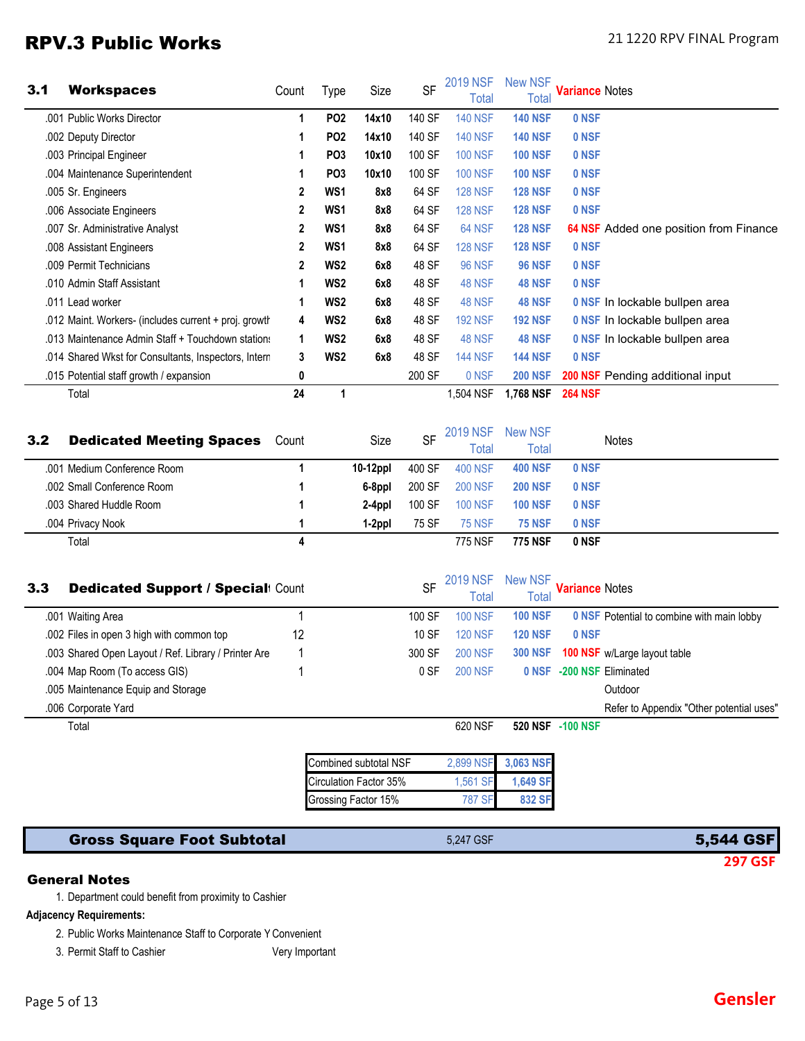### RPV.3 Public Works 21 1220 RPV FINAL Program

| 3.1 | <b>Workspaces</b>                                     | Count          | Type            | Size  | <b>SF</b> | <b>2019 NSF</b><br>Total | <b>New NSF</b><br>Total | <b>Variance</b> Notes                         |
|-----|-------------------------------------------------------|----------------|-----------------|-------|-----------|--------------------------|-------------------------|-----------------------------------------------|
|     | .001 Public Works Director                            |                | PO <sub>2</sub> | 14x10 | 140 SF    | <b>140 NSF</b>           | <b>140 NSF</b>          | 0 NSF                                         |
|     | .002 Deputy Director                                  |                | PO <sub>2</sub> | 14x10 | 140 SF    | <b>140 NSF</b>           | <b>140 NSF</b>          | 0 NSF                                         |
|     | .003 Principal Engineer                               |                | PO <sub>3</sub> | 10x10 | 100 SF    | <b>100 NSF</b>           | <b>100 NSF</b>          | 0 NSF                                         |
|     | .004 Maintenance Superintendent                       |                | PO <sub>3</sub> | 10x10 | 100 SF    | <b>100 NSF</b>           | <b>100 NSF</b>          | 0 NSF                                         |
|     | .005 Sr. Engineers                                    | 2              | WS1             | 8x8   | 64 SF     | <b>128 NSF</b>           | <b>128 NSF</b>          | 0 NSF                                         |
|     | .006 Associate Engineers                              | 2              | WS1             | 8x8   | 64 SF     | <b>128 NSF</b>           | <b>128 NSF</b>          | 0 NSF                                         |
|     | .007 Sr. Administrative Analyst                       | $\mathbf{2}$   | WS <sub>1</sub> | 8x8   | 64 SF     | <b>64 NSF</b>            | <b>128 NSF</b>          | <b>64 NSF</b> Added one position from Finance |
|     | .008 Assistant Engineers                              | $\overline{2}$ | WS1             | 8x8   | 64 SF     | <b>128 NSF</b>           | <b>128 NSF</b>          | 0 NSF                                         |
|     | .009 Permit Technicians                               | 2              | WS <sub>2</sub> | 6x8   | 48 SF     | <b>96 NSF</b>            | <b>96 NSF</b>           | 0 NSF                                         |
|     | .010 Admin Staff Assistant                            |                | WS <sub>2</sub> | 6x8   | 48 SF     | <b>48 NSF</b>            | <b>48 NSF</b>           | 0 NSF                                         |
|     | .011 Lead worker                                      |                | WS <sub>2</sub> | 6x8   | 48 SF     | <b>48 NSF</b>            | <b>48 NSF</b>           | 0 NSF In lockable bullpen area                |
|     | .012 Maint. Workers- (includes current + proj. growth | 4              | WS <sub>2</sub> | 6x8   | 48 SF     | <b>192 NSF</b>           | <b>192 NSF</b>          | 0 NSF In lockable bullpen area                |
|     | .013 Maintenance Admin Staff + Touchdown stations     | 1              | WS <sub>2</sub> | 6x8   | 48 SF     | <b>48 NSF</b>            | <b>48 NSF</b>           | 0 NSF In lockable bullpen area                |
|     | .014 Shared Wkst for Consultants, Inspectors, Intern  | 3              | WS <sub>2</sub> | 6x8   | 48 SF     | <b>144 NSF</b>           | <b>144 NSF</b>          | 0 NSF                                         |
|     | .015 Potential staff growth / expansion               | 0              |                 |       | 200 SF    | 0 NSF                    | <b>200 NSF</b>          | <b>200 NSF</b> Pending additional input       |
|     | Total                                                 | 24             | 1               |       |           | 1,504 NSF                | 1,768 NSF               | <b>264 NSF</b>                                |

| 3.2  | <b>Dedicated Meeting Spaces</b> | Count | Size        | <b>SF</b> | <b>2019 NSF</b><br>Total | New NSF<br>Total | <b>Notes</b> |  |
|------|---------------------------------|-------|-------------|-----------|--------------------------|------------------|--------------|--|
| .001 | Medium Conference Room          |       | $10-12$ ppl | 400 SF    | <b>400 NSF</b>           | <b>400 NSF</b>   | 0 NSF        |  |
|      | .002 Small Conference Room      |       | 6-8ppl      | 200 SF    | <b>200 NSF</b>           | <b>200 NSF</b>   | 0 NSF        |  |
|      | .003 Shared Huddle Room         |       | 2-4ppl      | 100 SF    | <b>100 NSF</b>           | <b>100 NSF</b>   | 0 NSF        |  |
|      | .004 Privacy Nook               |       | 1-2ppl      | 75 SF     | <b>75 NSF</b>            | <b>75 NSF</b>    | 0 NSF        |  |
|      | Total                           |       |             |           | 775 NSF                  | <b>775 NSF</b>   | 0 NSF        |  |

| 3.3 | <b>Dedicated Support / Special: Count</b>            |    | <b>SF</b> | 2019 NSF<br>Total | New NSF<br>Total | <b>Variance Notes</b>                             |
|-----|------------------------------------------------------|----|-----------|-------------------|------------------|---------------------------------------------------|
|     | .001 Waiting Area                                    |    | 100 SF    | <b>100 NSF</b>    | <b>100 NSF</b>   | <b>0 NSF Potential to combine with main lobby</b> |
|     | .002 Files in open 3 high with common top            | 12 | 10 SF     | <b>120 NSF</b>    | <b>120 NSF</b>   | 0 NSF                                             |
|     | .003 Shared Open Layout / Ref. Library / Printer Are |    | 300 SF    | <b>200 NSF</b>    | <b>300 NSF</b>   | <b>100 NSF</b> w/Large layout table               |
|     | .004 Map Room (To access GIS)                        |    | 0 SF      | <b>200 NSF</b>    | 0 NSF            | -200 NSF Eliminated                               |
|     | .005 Maintenance Equip and Storage                   |    |           |                   |                  | Outdoor                                           |
|     | .006 Corporate Yard                                  |    |           |                   |                  | Refer to Appendix "Other potential uses"          |
|     | Total                                                |    |           | 620 NSF           | <b>520 NSF</b>   | -100 NSF                                          |
|     |                                                      |    |           |                   |                  |                                                   |

| Combined subtotal NSF  |               | 2,899 NSF 3,063 NSF |
|------------------------|---------------|---------------------|
| Circulation Factor 35% | 1.561 SF      | 1,649 SF            |
| Grossing Factor 15%    | <b>787 SF</b> | 832 SF              |

### Gross Square Foot Subtotal 6.247 GSF 5,247 GSF 5,544 GSF 5,544 GSF

**297 GSF**

#### General Notes

1. Department could benefit from proximity to Cashier

#### **Adjacency Requirements:**

2. Public Works Maintenance Staff to Corporate Y Convenient

3. Permit Staff to Cashier Very Important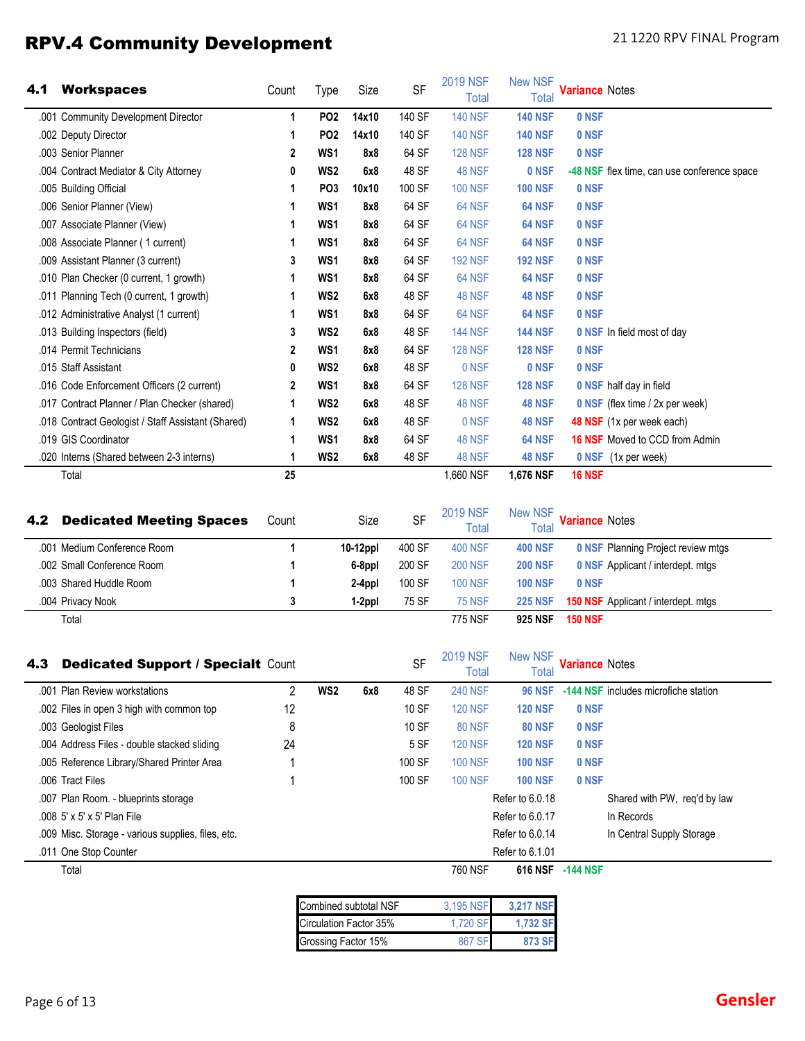# RPV.4 Community Development 21 1220 RPV FINAL Program

| 4.1 | <b>Workspaces</b>                                              | Count      | Type            | Size             | SF                  | <b>2019 NSF</b><br><b>Total</b>            | <b>New NSF</b><br>Total                          | <b>Variance Notes</b>                   |                                             |
|-----|----------------------------------------------------------------|------------|-----------------|------------------|---------------------|--------------------------------------------|--------------------------------------------------|-----------------------------------------|---------------------------------------------|
|     | .001 Community Development Director                            | 1          | PO <sub>2</sub> | 14x10            | 140 SF              | <b>140 NSF</b>                             | <b>140 NSF</b>                                   | 0 NSF                                   |                                             |
|     | .002 Deputy Director                                           | 1          | PO <sub>2</sub> | 14x10            | 140 SF              | <b>140 NSF</b>                             | <b>140 NSF</b>                                   | 0 NSF                                   |                                             |
|     | .003 Senior Planner                                            | 2          | WS1             | 8x8              | 64 SF               | <b>128 NSF</b>                             | <b>128 NSF</b>                                   | 0 NSF                                   |                                             |
|     | .004 Contract Mediator & City Attorney                         | 0          | WS <sub>2</sub> | 6x8              | 48 SF               | <b>48 NSF</b>                              | 0 NSF                                            |                                         | -48 NSF flex time, can use conference space |
|     | .005 Building Official                                         | 1          | PO <sub>3</sub> | 10x10            | 100 SF              | <b>100 NSF</b>                             | <b>100 NSF</b>                                   | 0 NSF                                   |                                             |
|     | .006 Senior Planner (View)                                     | 1          | WS1             | 8x8              | 64 SF               | 64 NSF                                     | 64 NSF                                           | 0 NSF                                   |                                             |
|     | .007 Associate Planner (View)                                  | 1          | WS1             | 8x8              | 64 SF               | 64 NSF                                     | 64 NSF                                           | 0 NSF                                   |                                             |
|     | .008 Associate Planner (1 current)                             | 1          | WS1             | 8x8              | 64 SF               | 64 NSF                                     | 64 NSF                                           | 0 NSF                                   |                                             |
|     | .009 Assistant Planner (3 current)                             | 3          | WS1             | 8x8              | 64 SF               | <b>192 NSF</b>                             | <b>192 NSF</b>                                   | 0 NSF                                   |                                             |
|     | .010 Plan Checker (0 current, 1 growth)                        | 1          | WS1             | 8x8              | 64 SF               | 64 NSF                                     | 64 NSF                                           | 0 NSF                                   |                                             |
|     | .011 Planning Tech (0 current, 1 growth)                       | 1          | WS <sub>2</sub> | 6x8              | 48 SF               | <b>48 NSF</b>                              | <b>48 NSF</b>                                    | 0 NSF                                   |                                             |
|     | .012 Administrative Analyst (1 current)                        | 1          | WS1             | 8x8              | 64 SF               | 64 NSF                                     | <b>64 NSF</b>                                    | 0 NSF                                   |                                             |
|     | .013 Building Inspectors (field)                               | 3          | WS <sub>2</sub> | 6x8              | 48 SF               | <b>144 NSF</b>                             | <b>144 NSF</b>                                   |                                         | 0 NSF In field most of day                  |
|     | .014 Permit Technicians                                        | 2          | WS1             | 8x8              | 64 SF               | <b>128 NSF</b>                             | <b>128 NSF</b>                                   | 0 NSF                                   |                                             |
|     | .015 Staff Assistant                                           | 0          | WS <sub>2</sub> | 6x8              | 48 SF               | 0 NSF                                      | 0 NSF                                            | 0 NSF                                   |                                             |
|     | .016 Code Enforcement Officers (2 current)                     | 2          | WS1             | 8x8              | 64 SF               | <b>128 NSF</b>                             | <b>128 NSF</b>                                   |                                         | 0 NSF half day in field                     |
|     | .017 Contract Planner / Plan Checker (shared)                  | 1          | WS <sub>2</sub> | 6x8              | 48 SF               | <b>48 NSF</b>                              | <b>48 NSF</b>                                    |                                         | 0 NSF (flex time / 2x per week)             |
|     | .018 Contract Geologist / Staff Assistant (Shared)             | 1          | WS <sub>2</sub> | 6x8              | 48 SF               | 0 NSF                                      | <b>48 NSF</b>                                    |                                         | 48 NSF (1x per week each)                   |
|     | .019 GIS Coordinator                                           | 1          | WS1             | 8x8              | 64 SF               | <b>48 NSF</b>                              | 64 NSF                                           |                                         | <b>16 NSF</b> Moved to CCD from Admin       |
|     | .020 Interns (Shared between 2-3 interns)                      | 1          | WS <sub>2</sub> | 6x8              | 48 SF               | 48 NSF                                     | <b>48 NSF</b>                                    |                                         | 0 NSF (1x per week)                         |
|     | Total                                                          | 25         |                 |                  |                     | 1,660 NSF                                  | 1,676 NSF                                        | <b>16 NSF</b>                           |                                             |
| 4.2 | <b>Dedicated Meeting Spaces</b><br>.001 Medium Conference Room | Count<br>1 |                 | Size<br>10-12ppl | <b>SF</b><br>400 SF | <b>2019 NSF</b><br>Total<br><b>400 NSF</b> | <b>New NSF</b><br><b>Total</b><br><b>400 NSF</b> | <b>Variance Notes</b>                   | <b>0 NSF Planning Project review mtgs</b>   |
|     | .002 Small Conference Room                                     | 1          |                 | 6-8ppl           | 200 SF              | <b>200 NSF</b>                             | <b>200 NSF</b>                                   |                                         | <b>0 NSF Applicant / interdept. mtgs</b>    |
|     | .003 Shared Huddle Room                                        | 1          |                 | 2-4ppl           | 100 SF              | <b>100 NSF</b>                             | <b>100 NSF</b>                                   | 0 NSF                                   |                                             |
|     | .004 Privacy Nook                                              | 3          |                 | 1-2ppl           | 75 SF               | <b>75 NSF</b>                              | <b>225 NSF</b>                                   |                                         | 150 NSF Applicant / interdept. mtgs         |
| 4.3 | Total<br><b>Dedicated Support / Specialt Count</b>             |            |                 |                  | <b>SF</b>           | 775 NSF<br><b>2019 NSF</b><br>Total        | <b>925 NSF</b><br><b>New NSF</b><br>Total        | <b>150 NSF</b><br><b>Variance Notes</b> |                                             |
|     | .001 Plan Review workstations                                  | 2          | WS <sub>2</sub> | 6x8              | 48 SF               | <b>240 NSF</b>                             | <b>96 NSF</b>                                    |                                         | -144 NSF includes microfiche station        |
|     | .002 Files in open 3 high with common top                      | 12         |                 |                  | 10 SF               | <b>120 NSF</b>                             | <b>120 NSF</b>                                   | 0 NSF                                   |                                             |
|     | .003 Geologist Files                                           | 8          |                 |                  | 10 SF               | <b>80 NSF</b>                              | <b>80 NSF</b>                                    | 0 NSF                                   |                                             |
|     | .004 Address Files - double stacked sliding                    | 24         |                 |                  | 5 SF                | <b>120 NSF</b>                             | <b>120 NSF</b>                                   | 0 NSF                                   |                                             |
|     | .005 Reference Library/Shared Printer Area                     |            |                 |                  | 100 SF              | <b>100 NSF</b>                             | <b>100 NSF</b>                                   | 0 NSF                                   |                                             |
|     | .006 Tract Files                                               | 1          |                 |                  | 100 SF              | <b>100 NSF</b>                             | <b>100 NSF</b>                                   | 0 NSF                                   |                                             |
|     | .007 Plan Room. - blueprints storage                           |            |                 |                  |                     |                                            | Refer to 6.0.18                                  |                                         | Shared with PW, req'd by law                |
|     | .008 5' x 5' x 5' Plan File                                    |            |                 |                  |                     |                                            | Refer to 6.0.17                                  |                                         | In Records                                  |
|     | .009 Misc. Storage - various supplies, files, etc.             |            |                 |                  |                     |                                            | Refer to 6.0.14                                  |                                         | In Central Supply Storage                   |
|     | .011 One Stop Counter                                          |            |                 |                  |                     |                                            | Refer to 6.1.01                                  |                                         |                                             |
|     | Total                                                          |            |                 |                  |                     | 760 NSF                                    |                                                  | 616 NSF -144 NSF                        |                                             |
|     |                                                                |            |                 |                  |                     |                                            |                                                  |                                         |                                             |

| Combined subtotal NSF  | 3,195 NSF | <b>3.217 NSF</b> |
|------------------------|-----------|------------------|
| Circulation Factor 35% | 1.720 SF  | 1.732 SF         |
| Grossing Factor 15%    | 867 SF    | 873 SF           |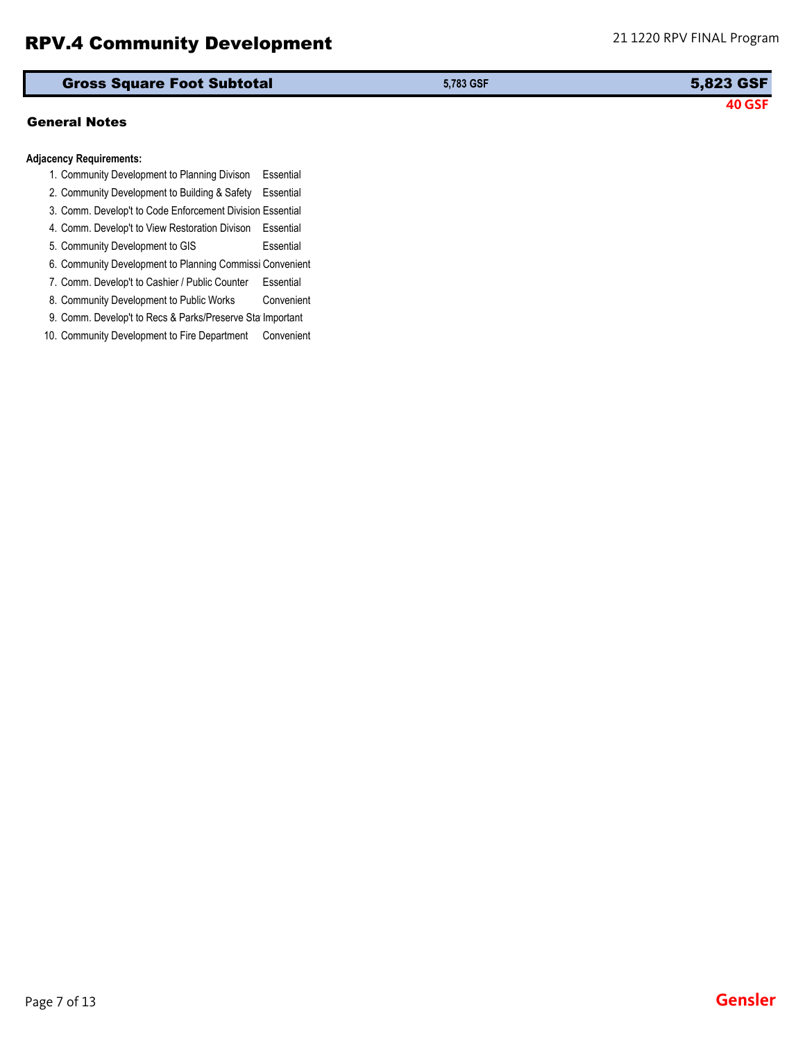### RPV.4 Community Development 21 1220 RPV FINAL Program

| General Notes |
|---------------|
|               |
|               |

#### **Adjacency Requirements:**

- 1. Community Development to Planning Divison Essential
- 2. Community Development to Building & Safety Essential
- 3. Comm. Develop't to Code Enforcement Division Essential
- 4. Comm. Develop't to View Restoration Divison Essential
- 5. Community Development to GIS Essential
- 6. Community Development to Planning Commissi Convenient
- 7. Comm. Develop't to Cashier / Public Counter Essential
- 8. Community Development to Public Works Convenient
- 9. Comm. Develop't to Recs & Parks/Preserve Sta Important
- 10. Community Development to Fire Department Convenient

| <b>Gross Square Foot Subtotal</b> | 5.783 GSF | 5,823 GSF |
|-----------------------------------|-----------|-----------|
|                                   |           |           |

**40 GSF**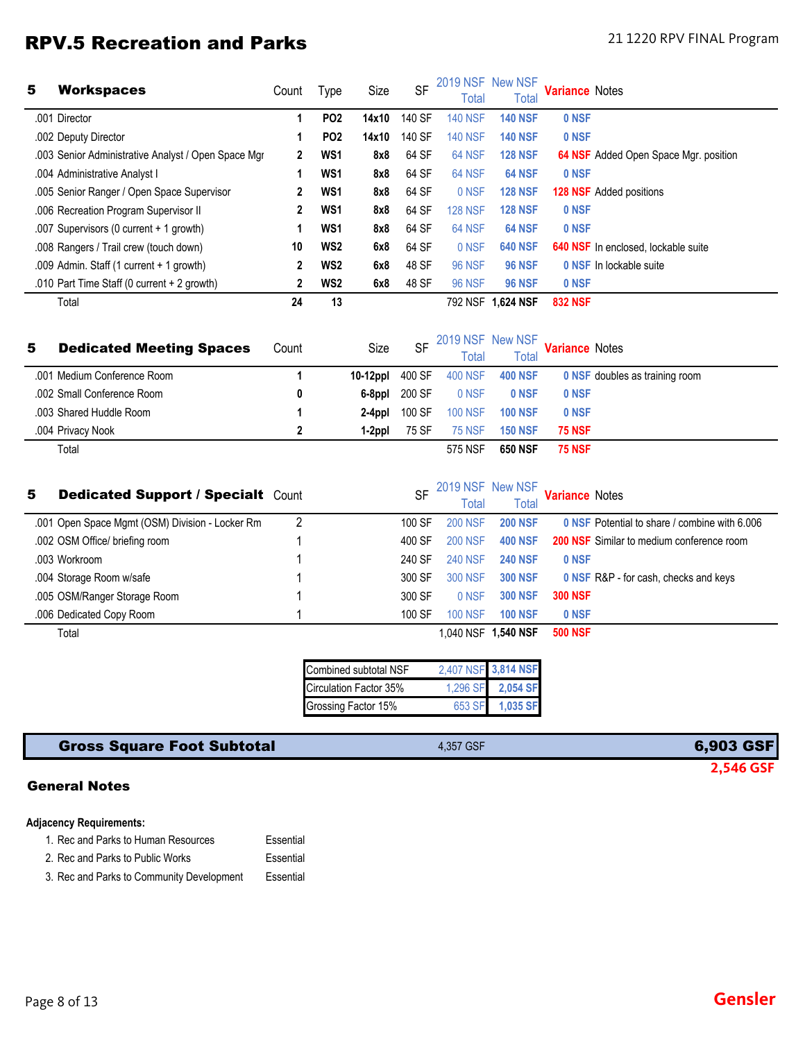## RPV.5 Recreation and Parks 21 1220 RPV FINAL Program

| 5 | <b>Workspaces</b>                                   | Count | Type            | Size  | <b>SF</b> | 2019 NSF New NSF<br>Total | Total            | <b>Variance Notes</b> |                                              |
|---|-----------------------------------------------------|-------|-----------------|-------|-----------|---------------------------|------------------|-----------------------|----------------------------------------------|
|   | .001 Director                                       |       | PO <sub>2</sub> | 14x10 | 140 SF    | <b>140 NSF</b>            | <b>140 NSF</b>   | 0 NSF                 |                                              |
|   | .002 Deputy Director                                |       | PO <sub>2</sub> | 14x10 | 140 SF    | <b>140 NSF</b>            | <b>140 NSF</b>   | 0 NSF                 |                                              |
|   | .003 Senior Administrative Analyst / Open Space Mgr | 2     | WS <sub>1</sub> | 8x8   | 64 SF     | 64 NSF                    | <b>128 NSF</b>   |                       | <b>64 NSF</b> Added Open Space Mgr. position |
|   | .004 Administrative Analyst I                       |       | WS <sub>1</sub> | 8x8   | 64 SF     | 64 NSF                    | <b>64 NSF</b>    | 0 NSF                 |                                              |
|   | .005 Senior Ranger / Open Space Supervisor          | 2     | WS <sub>1</sub> | 8x8   | 64 SF     | 0 NSF                     | <b>128 NSF</b>   |                       | 128 NSF Added positions                      |
|   | .006 Recreation Program Supervisor II               |       | WS <sub>1</sub> | 8x8   | 64 SF     | <b>128 NSF</b>            | <b>128 NSF</b>   | 0 NSF                 |                                              |
|   | .007 Supervisors (0 current + 1 growth)             |       | WS <sub>1</sub> | 8x8   | 64 SF     | 64 NSF                    | <b>64 NSF</b>    | 0 NSF                 |                                              |
|   | .008 Rangers / Trail crew (touch down)              | 10    | WS <sub>2</sub> | 6x8   | 64 SF     | 0 NSF                     | <b>640 NSF</b>   |                       | <b>640 NSF</b> In enclosed, lockable suite   |
|   | .009 Admin. Staff (1 current + 1 growth)            | 2     | WS <sub>2</sub> | 6x8   | 48 SF     | <b>96 NSF</b>             | <b>96 NSF</b>    |                       | 0 NSF In lockable suite                      |
|   | .010 Part Time Staff (0 current + 2 growth)         | 2     | WS <sub>2</sub> | 6x8   | 48 SF     | <b>96 NSF</b>             | <b>96 NSF</b>    | 0 NSF                 |                                              |
|   | Total                                               | 24    | 13              |       |           | 792 NSF                   | <b>1.624 NSF</b> | <b>832 NSF</b>        |                                              |

| 5 | <b>Dedicated Meeting Spaces</b> | Count | Size     | <b>SF</b> | 2019 NSF New NSF<br>Total | <b>Total</b>   | <b>Variance Notes</b> |                                       |
|---|---------------------------------|-------|----------|-----------|---------------------------|----------------|-----------------------|---------------------------------------|
|   | .001 Medium Conference Room     |       | 10-12ppl | 400 SF    | 400 NSF                   | 400 NSF        |                       | <b>0 NSF</b> doubles as training room |
|   | .002 Small Conference Room      | 0     | 6-8ppl   | 200 SF    | 0 NSF                     | 0 NSF          | 0 NSF                 |                                       |
|   | .003 Shared Huddle Room         |       | 2-4ppl   | 100 SF    | <b>100 NSF</b>            | <b>100 NSF</b> | 0 NSF                 |                                       |
|   | .004 Privacy Nook               |       | 1-2ppl   | 75 SF     | <b>75 NSF</b>             | <b>150 NSF</b> | <b>75 NSF</b>         |                                       |
|   | Total                           |       |          |           | 575 NSF                   | <b>650 NSF</b> | <b>75 NSF</b>         |                                       |

| 5. | <b>Dedicated Support / Specialt Count</b>       | <b>SF</b> | 2019 NSF New NSF<br>Total | <b>Total</b>        | <b>Variance Notes</b>                                |
|----|-------------------------------------------------|-----------|---------------------------|---------------------|------------------------------------------------------|
|    | .001 Open Space Mgmt (OSM) Division - Locker Rm | 100 SF    | <b>200 NSF</b>            | <b>200 NSF</b>      | <b>0 NSF Potential to share / combine with 6,006</b> |
|    | .002 OSM Office/ briefing room                  | 400 SF    | <b>200 NSF</b>            | <b>400 NSF</b>      | <b>200 NSF</b> Similar to medium conference room     |
|    | .003 Workroom                                   | 240 SF    | <b>240 NSF</b>            | <b>240 NSF</b>      | 0 NSF                                                |
|    | .004 Storage Room w/safe                        | 300 SF    | 300 NSF                   | <b>300 NSF</b>      | <b>0 NSF R&amp;P</b> - for cash, checks and keys     |
|    | .005 OSM/Ranger Storage Room                    | 300 SF    | 0 NSF                     | <b>300 NSF</b>      | <b>300 NSF</b>                                       |
|    | .006 Dedicated Copy Room                        | 100 SF    | <b>100 NSF</b>            | <b>100 NSF</b>      | 0 NSF                                                |
|    | Total                                           |           |                           | 1.040 NSF 1.540 NSF | <b>500 NSF</b>                                       |

| Combined subtotal NSF  | 2,407 NSF 3,814 NSF |
|------------------------|---------------------|
| Circulation Factor 35% | 1,296 SF 2,054 SF   |
| Grossing Factor 15%    | 653 SF 1,035 SF     |

### Gross Square Foot Subtotal **6,903 GSF** 6,903 GSF

#### General Notes

|  | Adjacency Requirements: |  |
|--|-------------------------|--|
|--|-------------------------|--|

- 1. Rec and Parks to Human Resources Essential
- 2. Rec and Parks to Public Works Essential

3. Rec and Parks to Community Development Essential

**2,546 GSF**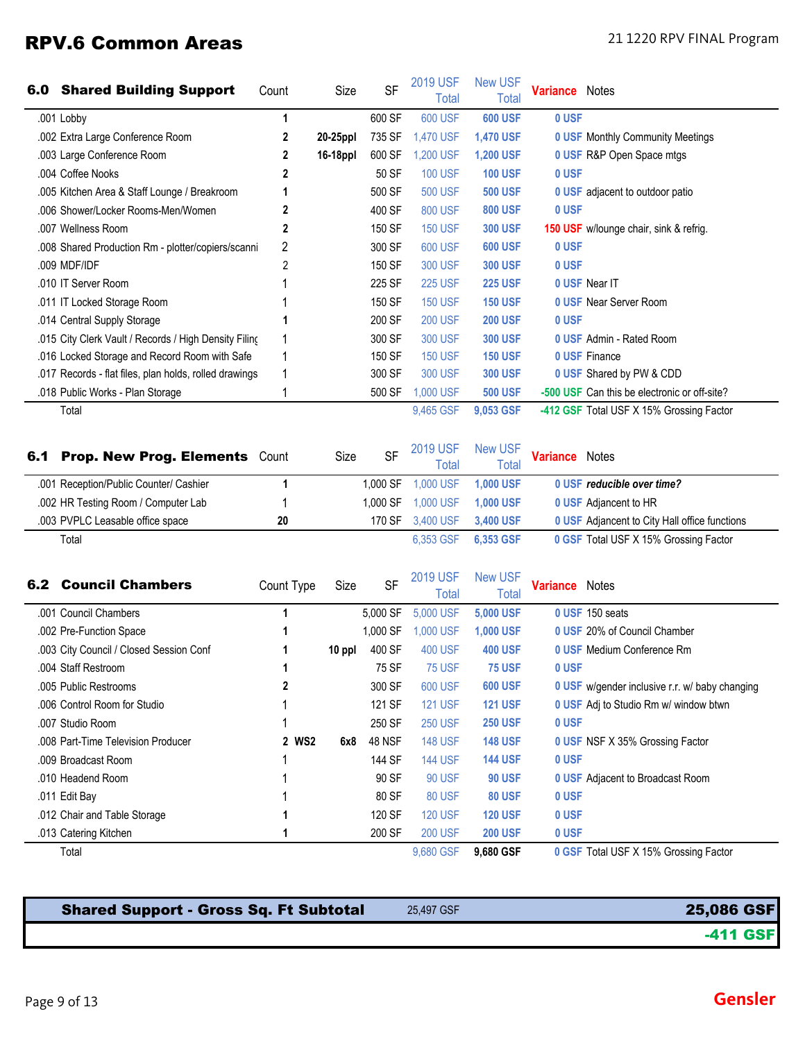# RPV.6 Common Areas 21 1220 RPV FINAL Program

| 6.0 | <b>Shared Building Support</b>                         | Count      | Size     | <b>SF</b> | <b>2019 USF</b><br><b>Total</b> | <b>New USF</b><br>Total        | <b>Variance</b> Notes |                                                |
|-----|--------------------------------------------------------|------------|----------|-----------|---------------------------------|--------------------------------|-----------------------|------------------------------------------------|
|     | .001 Lobby                                             | 1          |          | 600 SF    | <b>600 USF</b>                  | <b>600 USF</b>                 | 0 USF                 |                                                |
|     | .002 Extra Large Conference Room                       | 2          | 20-25ppl | 735 SF    | 1,470 USF                       | <b>1,470 USF</b>               |                       | <b>0 USF Monthly Community Meetings</b>        |
|     | .003 Large Conference Room                             | 2          | 16-18ppl | 600 SF    | 1,200 USF                       | <b>1,200 USF</b>               |                       | 0 USF R&P Open Space mtgs                      |
|     | .004 Coffee Nooks                                      | 2          |          | 50 SF     | <b>100 USF</b>                  | <b>100 USF</b>                 | 0 USF                 |                                                |
|     | .005 Kitchen Area & Staff Lounge / Breakroom           | 1          |          | 500 SF    | <b>500 USF</b>                  | <b>500 USF</b>                 |                       | 0 USF adjacent to outdoor patio                |
|     | .006 Shower/Locker Rooms-Men/Women                     | 2          |          | 400 SF    | <b>800 USF</b>                  | <b>800 USF</b>                 | 0 USF                 |                                                |
|     | .007 Wellness Room                                     | 2          |          | 150 SF    | <b>150 USF</b>                  | <b>300 USF</b>                 |                       | 150 USF w/lounge chair, sink & refrig.         |
|     | .008 Shared Production Rm - plotter/copiers/scanni     | 2          |          | 300 SF    | <b>600 USF</b>                  | <b>600 USF</b>                 | 0 USF                 |                                                |
|     | .009 MDF/IDF                                           | 2          |          | 150 SF    | <b>300 USF</b>                  | <b>300 USF</b>                 | 0 USF                 |                                                |
|     | .010 IT Server Room                                    |            |          | 225 SF    | <b>225 USF</b>                  | <b>225 USF</b>                 |                       | 0 USF Near IT                                  |
|     | .011 IT Locked Storage Room                            |            |          | 150 SF    | <b>150 USF</b>                  | <b>150 USF</b>                 |                       | <b>0 USF Near Server Room</b>                  |
|     | .014 Central Supply Storage                            |            |          | 200 SF    | <b>200 USF</b>                  | <b>200 USF</b>                 | 0 USF                 |                                                |
|     | .015 City Clerk Vault / Records / High Density Filing  |            |          | 300 SF    | <b>300 USF</b>                  | <b>300 USF</b>                 |                       | 0 USF Admin - Rated Room                       |
|     | .016 Locked Storage and Record Room with Safe          |            |          | 150 SF    | <b>150 USF</b>                  | <b>150 USF</b>                 |                       | <b>0 USF Finance</b>                           |
|     | .017 Records - flat files, plan holds, rolled drawings |            |          | 300 SF    | <b>300 USF</b>                  | <b>300 USF</b>                 |                       | 0 USF Shared by PW & CDD                       |
|     | .018 Public Works - Plan Storage                       |            |          | 500 SF    | 1,000 USF                       | <b>500 USF</b>                 |                       | -500 USF Can this be electronic or off-site?   |
|     | Total                                                  |            |          |           | 9,465 GSF                       | 9,053 GSF                      |                       | -412 GSF Total USF X 15% Grossing Factor       |
| 6.1 | <b>Prop. New Prog. Elements Count</b>                  |            | Size     | <b>SF</b> | <b>2019 USF</b><br><b>Total</b> | <b>New USF</b><br><b>Total</b> | <b>Variance</b> Notes |                                                |
|     | .001 Reception/Public Counter/ Cashier                 | 1          |          | 1,000 SF  | 1,000 USF                       | <b>1,000 USF</b>               |                       | 0 USF reducible over time?                     |
|     | .002 HR Testing Room / Computer Lab                    |            |          | 1,000 SF  | 1,000 USF                       | 1,000 USF                      |                       | 0 USF Adjancent to HR                          |
|     | .003 PVPLC Leasable office space                       | 20         |          | 170 SF    | 3,400 USF                       | 3,400 USF                      |                       | 0 USF Adjancent to City Hall office functions  |
|     | Total                                                  |            |          |           | 6,353 GSF                       | 6,353 GSF                      |                       | 0 GSF Total USF X 15% Grossing Factor          |
| 6.2 | <b>Council Chambers</b>                                | Count Type | Size     | <b>SF</b> | <b>2019 USF</b><br><b>Total</b> | <b>New USF</b><br><b>Total</b> | <b>Variance</b> Notes |                                                |
|     | .001 Council Chambers                                  | 1          |          | 5,000 SF  | 5,000 USF                       | 5,000 USF                      |                       | 0 USF 150 seats                                |
|     | .002 Pre-Function Space                                | 1          |          | 1,000 SF  | 1,000 USF                       | 1,000 USF                      |                       | 0 USF 20% of Council Chamber                   |
|     | .003 City Council / Closed Session Conf                | 1          | 10 ppl   | 400 SF    | <b>400 USF</b>                  | <b>400 USF</b>                 |                       | 0 USF Medium Conference Rm                     |
|     | .004 Staff Restroom                                    |            |          | 75 SF     | <b>75 USF</b>                   | <b>75 USF</b>                  | 0 USF                 |                                                |
|     | .005 Public Restrooms                                  | 2          |          | 300 SF    | <b>600 USF</b>                  | <b>600 USF</b>                 |                       | 0 USF w/gender inclusive r.r. w/ baby changing |
|     | .006 Control Room for Studio                           |            |          | 121 SF    | <b>121 USF</b>                  | <b>121 USF</b>                 |                       | 0 USF Adj to Studio Rm w/ window btwn          |
|     | .007 Studio Room                                       |            |          | 250 SF    | <b>250 USF</b>                  | <b>250 USF</b>                 | 0 USF                 |                                                |
|     | .008 Part-Time Television Producer                     | 2 WS2      | 6x8      | 48 NSF    | <b>148 USF</b>                  | <b>148 USF</b>                 |                       | 0 USF NSF X 35% Grossing Factor                |
|     | .009 Broadcast Room                                    |            |          | 144 SF    | <b>144 USF</b>                  | <b>144 USF</b>                 | 0 USF                 |                                                |
|     | .010 Headend Room                                      |            |          | 90 SF     | <b>90 USF</b>                   | <b>90 USF</b>                  |                       | <b>0 USF</b> Adjacent to Broadcast Room        |
|     | .011 Edit Bay                                          |            |          | 80 SF     | 80 USF                          | <b>80 USF</b>                  | 0 USF                 |                                                |
|     | .012 Chair and Table Storage                           |            |          | 120 SF    | <b>120 USF</b>                  | <b>120 USF</b>                 | 0 USF                 |                                                |
|     | .013 Catering Kitchen                                  |            |          | 200 SF    | <b>200 USF</b>                  | <b>200 USF</b>                 | 0 USF                 |                                                |
|     | Total                                                  |            |          |           | 9,680 GSF                       | 9,680 GSF                      |                       | 0 GSF Total USF X 15% Grossing Factor          |

| <b>Shared Support - Gross Sq. Ft Subtotal</b> | 25.497 GSF | 25,086 GSF      |
|-----------------------------------------------|------------|-----------------|
|                                               |            | <b>-411 GSF</b> |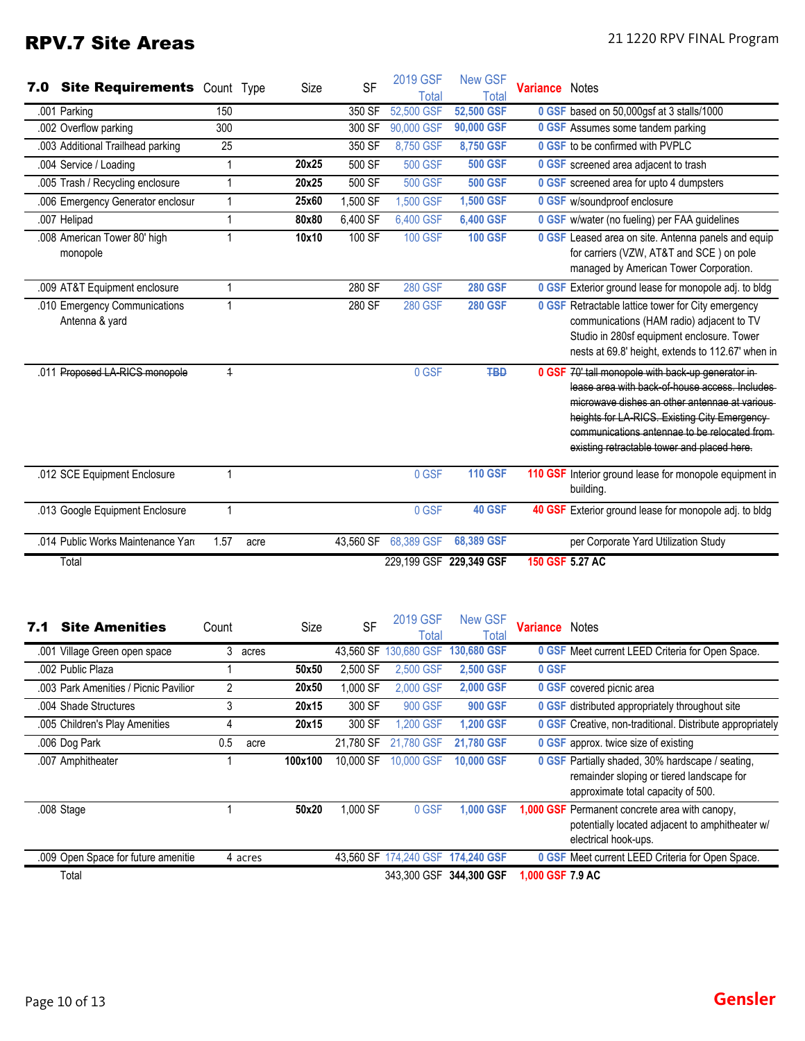# RPV.7 Site Areas 21 1220 RPV FINAL Program

| 7.0 | <b>Site Requirements</b> Count Type             |                |      | Size  | <b>SF</b> | 2019 GSF<br><b>Total</b> | <b>New GSF</b><br>Total   | <b>Variance</b> Notes |                                                                                                                                                                                                                                                                                                       |
|-----|-------------------------------------------------|----------------|------|-------|-----------|--------------------------|---------------------------|-----------------------|-------------------------------------------------------------------------------------------------------------------------------------------------------------------------------------------------------------------------------------------------------------------------------------------------------|
|     | .001 Parking                                    | 150            |      |       | 350 SF    | 52,500 GSF               | 52,500 GSF                |                       | 0 GSF based on 50,000gsf at 3 stalls/1000                                                                                                                                                                                                                                                             |
|     | .002 Overflow parking                           | 300            |      |       | 300 SF    | 90,000 GSF               | 90,000 GSF                |                       | 0 GSF Assumes some tandem parking                                                                                                                                                                                                                                                                     |
|     | .003 Additional Trailhead parking               | 25             |      |       | 350 SF    | 8,750 GSF                | 8,750 GSF                 |                       | 0 GSF to be confirmed with PVPLC                                                                                                                                                                                                                                                                      |
|     | .004 Service / Loading                          | 1              |      | 20x25 | 500 SF    | <b>500 GSF</b>           | <b>500 GSF</b>            |                       | 0 GSF screened area adjacent to trash                                                                                                                                                                                                                                                                 |
|     | .005 Trash / Recycling enclosure                | 1              |      | 20x25 | 500 SF    | <b>500 GSF</b>           | <b>500 GSF</b>            |                       | 0 GSF screened area for upto 4 dumpsters                                                                                                                                                                                                                                                              |
|     | .006 Emergency Generator enclosur               | 1              |      | 25x60 | 1,500 SF  | 1,500 GSF                | 1,500 GSF                 |                       | 0 GSF w/soundproof enclosure                                                                                                                                                                                                                                                                          |
|     | .007 Helipad                                    | 1              |      | 80x80 | 6,400 SF  | 6,400 GSF                | 6,400 GSF                 |                       | 0 GSF w/water (no fueling) per FAA guidelines                                                                                                                                                                                                                                                         |
|     | .008 American Tower 80' high<br>monopole        | 1              |      | 10x10 | 100 SF    | <b>100 GSF</b>           | <b>100 GSF</b>            |                       | 0 GSF Leased area on site. Antenna panels and equip<br>for carriers (VZW, AT&T and SCE) on pole<br>managed by American Tower Corporation.                                                                                                                                                             |
|     | .009 AT&T Equipment enclosure                   | 1              |      |       | 280 SF    | <b>280 GSF</b>           | <b>280 GSF</b>            |                       | 0 GSF Exterior ground lease for monopole adj. to bldg                                                                                                                                                                                                                                                 |
|     | .010 Emergency Communications<br>Antenna & yard | 1              |      |       | 280 SF    | <b>280 GSF</b>           | <b>280 GSF</b>            |                       | 0 GSF Retractable lattice tower for City emergency<br>communications (HAM radio) adjacent to TV<br>Studio in 280sf equipment enclosure. Tower<br>nests at 69.8' height, extends to 112.67' when in                                                                                                    |
|     | .011 Proposed LA-RICS monopole                  | $\overline{1}$ |      |       |           | 0 GSF                    | <b>TBD</b>                |                       | 0 GSF 70' tall monopole with back-up generator in-<br>lease area with back of house access. Includes<br>microwave dishes an other antennae at various<br>heights for LA RICS. Existing City Emergency-<br>communications antennae to be relocated from<br>existing retractable tower and placed here. |
|     | .012 SCE Equipment Enclosure                    | 1              |      |       |           | 0 GSF                    | <b>110 GSF</b>            |                       | 110 GSF Interior ground lease for monopole equipment in<br>building.                                                                                                                                                                                                                                  |
|     | .013 Google Equipment Enclosure                 | 1              |      |       |           | 0 GSF                    | 40 GSF                    |                       | 40 GSF Exterior ground lease for monopole adj. to bldg                                                                                                                                                                                                                                                |
|     | .014 Public Works Maintenance Yard              | 1.57           | acre |       | 43.560 SF | 68,389 GSF               | 68,389 GSF                |                       | per Corporate Yard Utilization Study                                                                                                                                                                                                                                                                  |
|     | Total                                           |                |      |       |           |                          | 229, 199 GSF 229, 349 GSF |                       | 150 GSF 5.27 AC                                                                                                                                                                                                                                                                                       |

| 7.1 | <b>Site Amenities</b>                 | Count          |         | Size    | <b>SF</b> | 2019 GSF<br>Total     | <b>New GSF</b><br>Total | <b>Variance</b> Notes |                                                                                                                                     |
|-----|---------------------------------------|----------------|---------|---------|-----------|-----------------------|-------------------------|-----------------------|-------------------------------------------------------------------------------------------------------------------------------------|
|     | .001 Village Green open space         | 3              | acres   |         | 43.560 SF | 130,680 GSF           | 130,680 GSF             |                       | 0 GSF Meet current LEED Criteria for Open Space.                                                                                    |
|     | .002 Public Plaza                     |                |         | 50x50   | 2,500 SF  | 2,500 GSF             | 2,500 GSF               | 0 GSF                 |                                                                                                                                     |
|     | .003 Park Amenities / Picnic Pavilion | $\overline{2}$ |         | 20x50   | 1,000 SF  | 2,000 GSF             | 2,000 GSF               |                       | 0 GSF covered picnic area                                                                                                           |
|     | .004 Shade Structures                 | 3              |         | 20x15   | 300 SF    | 900 GSF               | <b>900 GSF</b>          |                       | <b>0 GSF</b> distributed appropriately throughout site                                                                              |
|     | .005 Children's Play Amenities        | 4              |         | 20x15   | 300 SF    | 1.200 GSF             | 1.200 GSF               |                       | <b>0 GSF</b> Creative, non-traditional. Distribute appropriately                                                                    |
|     | .006 Dog Park                         | 0.5            | acre    |         | 21,780 SF | 21,780 GSF            | 21,780 GSF              |                       | <b>0 GSF</b> approx. twice size of existing                                                                                         |
|     | .007 Amphitheater                     |                |         | 100x100 | 10,000 SF | 10,000 GSF            | <b>10,000 GSF</b>       |                       | 0 GSF Partially shaded, 30% hardscape / seating,<br>remainder sloping or tiered landscape for<br>approximate total capacity of 500. |
|     | .008 Stage                            |                |         | 50x20   | 1,000 SF  | 0 GSF                 | <b>1.000 GSF</b>        |                       | 1,000 GSF Permanent concrete area with canopy,<br>potentially located adjacent to amphitheater w/<br>electrical hook-ups.           |
|     | .009 Open Space for future amenitie   |                | 4 acres |         |           | 43.560 SF 174.240 GSF | 174,240 GSF             |                       | <b>0 GSF Meet current LEED Criteria for Open Space.</b>                                                                             |
|     | Total                                 |                |         |         |           | 343.300 GSF           | 344.300 GSF             | 1,000 GSF 7.9 AC      |                                                                                                                                     |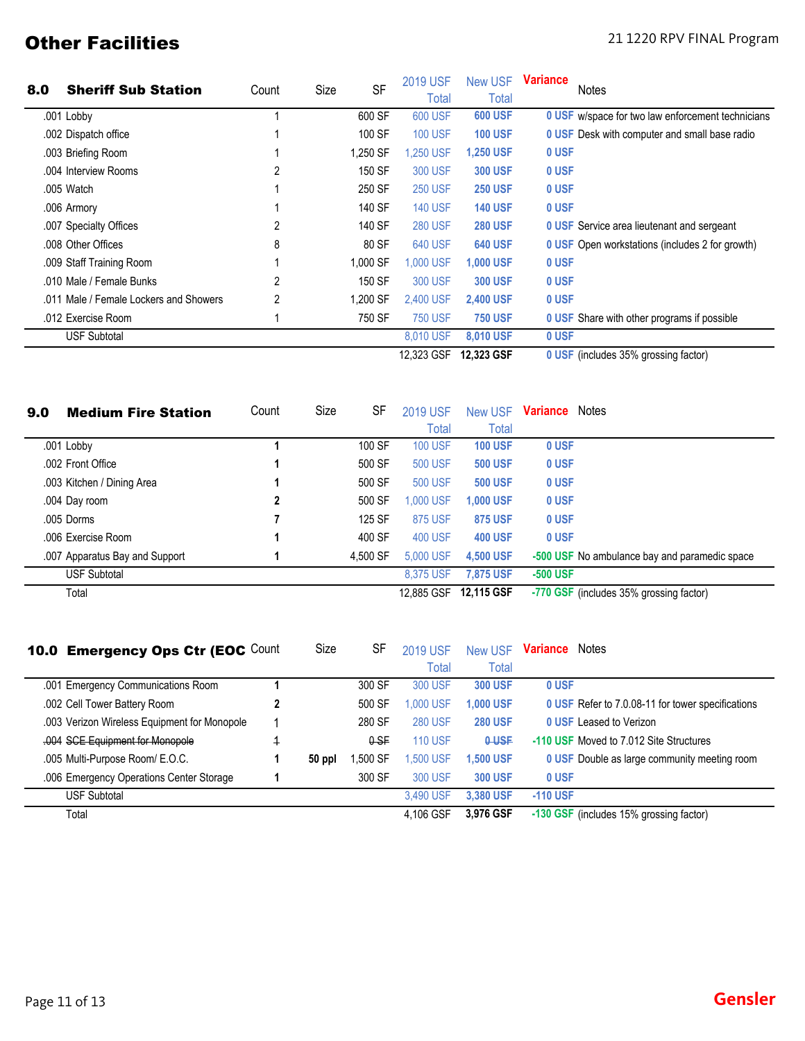# **Other Facilities** 21 1220 RPV FINAL Program

| 8.0 | <b>Sheriff Sub Station</b>             |       | Size | <b>SF</b> | <b>2019 USF</b> | <b>New USF</b>   | <b>Variance</b><br><b>Notes</b>                        |
|-----|----------------------------------------|-------|------|-----------|-----------------|------------------|--------------------------------------------------------|
|     |                                        | Count |      |           | Total           | Total            |                                                        |
|     | .001 Lobby                             |       |      | 600 SF    | 600 USF         | <b>600 USF</b>   | 0 USF w/space for two law enforcement technicians      |
|     | .002 Dispatch office                   |       |      | 100 SF    | <b>100 USF</b>  | <b>100 USF</b>   | <b>0 USF</b> Desk with computer and small base radio   |
|     | .003 Briefing Room                     |       |      | 1,250 SF  | 1,250 USF       | <b>1,250 USF</b> | 0 USF                                                  |
|     | .004 Interview Rooms                   | 2     |      | 150 SF    | <b>300 USF</b>  | <b>300 USF</b>   | 0 USF                                                  |
|     | .005 Watch                             |       |      | 250 SF    | <b>250 USF</b>  | <b>250 USF</b>   | 0 USF                                                  |
|     | .006 Armory                            |       |      | 140 SF    | <b>140 USF</b>  | <b>140 USF</b>   | 0 USF                                                  |
|     | .007 Specialty Offices                 |       |      | 140 SF    | <b>280 USF</b>  | <b>280 USF</b>   | <b>0 USF</b> Service area lieutenant and sergeant      |
|     | .008 Other Offices                     | 8     |      | 80 SF     | 640 USF         | <b>640 USF</b>   | <b>0 USF</b> Open workstations (includes 2 for growth) |
|     | .009 Staff Training Room               |       |      | 1,000 SF  | 1,000 USF       | <b>1,000 USF</b> | 0 USF                                                  |
|     | .010 Male / Female Bunks               |       |      | 150 SF    | 300 USF         | <b>300 USF</b>   | 0 USF                                                  |
|     | .011 Male / Female Lockers and Showers |       |      | 1.200 SF  | 2,400 USF       | <b>2,400 USF</b> | 0 USF                                                  |
|     | .012 Exercise Room                     |       |      | 750 SF    | <b>750 USF</b>  | <b>750 USF</b>   | <b>0 USF</b> Share with other programs if possible     |
|     | <b>USF Subtotal</b>                    |       |      |           | 8.010 USF       | 8,010 USF        | 0 USF                                                  |
|     |                                        |       |      |           | 12,323 GSF      | 12,323 GSF       | 0 USF (includes 35% grossing factor)                   |

| 9.0 | <b>Medium Fire Station</b>     | Count | Size | SF       | <b>2019 USF</b> | <b>New USF</b>    | Variance | Notes                                         |
|-----|--------------------------------|-------|------|----------|-----------------|-------------------|----------|-----------------------------------------------|
|     |                                |       |      |          | Total           | Total             |          |                                               |
|     | .001 Lobby                     |       |      | 100 SF   | <b>100 USF</b>  | <b>100 USF</b>    | 0 USF    |                                               |
|     | .002 Front Office              |       |      | 500 SF   | <b>500 USF</b>  | <b>500 USF</b>    | 0 USF    |                                               |
|     | .003 Kitchen / Dining Area     |       |      | 500 SF   | <b>500 USF</b>  | <b>500 USF</b>    | 0 USF    |                                               |
|     | .004 Day room                  | 2     |      | 500 SF   | ,000 USF        | 1,000 USF         | 0 USF    |                                               |
|     | .005 Dorms                     |       |      | 125 SF   | 875 USF         | <b>875 USF</b>    | 0 USF    |                                               |
|     | .006 Exercise Room             |       |      | 400 SF   | <b>400 USF</b>  | <b>400 USF</b>    | 0 USF    |                                               |
|     | .007 Apparatus Bay and Support |       |      | 4.500 SF | 5,000 USF       | 4,500 USF         |          | -500 USF No ambulance bay and paramedic space |
|     | <b>USF Subtotal</b>            |       |      |          | 8.375 USF       | <b>7.875 USF</b>  | -500 USF |                                               |
|     | Total                          |       |      |          | 12,885 GSF      | <b>12.115 GSF</b> |          | -770 GSF (includes 35% grossing factor)       |

| 10.0 Emergency Ops Ctr (EOC Count            | Size   | SF       | <b>2019 USF</b> | <b>New USF</b>   | <b>Variance</b> Notes                               |
|----------------------------------------------|--------|----------|-----------------|------------------|-----------------------------------------------------|
|                                              |        |          | Total           | Total            |                                                     |
| .001 Emergency Communications Room           |        | 300 SF   | 300 USF         | <b>300 USF</b>   | 0 USF                                               |
| .002 Cell Tower Battery Room                 |        | 500 SF   | 1,000 USF       | <b>1,000 USF</b> | 0 USF Refer to 7.0.08-11 for tower specifications   |
| .003 Verizon Wireless Equipment for Monopole |        | 280 SF   | <b>280 USF</b>  | <b>280 USF</b>   | <b>0 USF Leased to Verizon</b>                      |
| .004 SCE Equipment for Monopole              |        | $0-SF$   | <b>110 USF</b>  | <b>O-USF</b>     | -110 USF Moved to 7.012 Site Structures             |
| .005 Multi-Purpose Room/ E.O.C.              | 50 ppl | Ⅰ,500 SF | <b>.500 USF</b> | 1,500 USF        | <b>0 USF</b> Double as large community meeting room |
| .006 Emergency Operations Center Storage     |        | 300 SF   | <b>300 USF</b>  | <b>300 USF</b>   | 0 USF                                               |
| <b>USF Subtotal</b>                          |        |          | 3.490 USF       | 3,380 USF        | $-110$ USF                                          |
| Total                                        |        |          | 4.106 GSF       | 3.976 GSF        | -130 GSF (includes 15% grossing factor)             |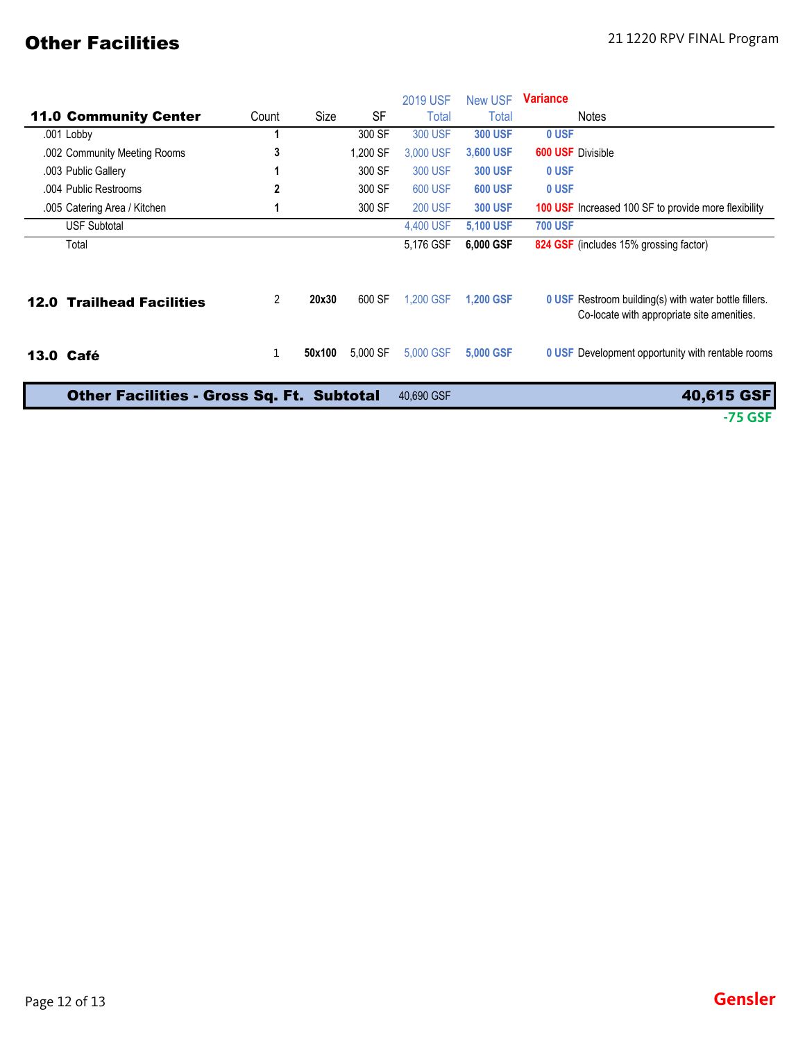# **Other Facilities** 21 1220 RPV FINAL Program

|                                                  |              |        |           | <b>2019 USF</b> | <b>New USF</b>   | <b>Variance</b>                                                                                            |
|--------------------------------------------------|--------------|--------|-----------|-----------------|------------------|------------------------------------------------------------------------------------------------------------|
| <b>11.0 Community Center</b>                     | Count        | Size   | <b>SF</b> | Total           | Total            | Notes                                                                                                      |
| .001 Lobby                                       |              |        | 300 SF    | <b>300 USF</b>  | <b>300 USF</b>   | 0 USF                                                                                                      |
| .002 Community Meeting Rooms                     | 3            |        | 1,200 SF  | 3,000 USF       | 3,600 USF        | <b>600 USF Divisible</b>                                                                                   |
| .003 Public Gallery                              |              |        | 300 SF    | <b>300 USF</b>  | <b>300 USF</b>   | 0 USF                                                                                                      |
| .004 Public Restrooms                            | 2            |        | 300 SF    | <b>600 USF</b>  | <b>600 USF</b>   | 0 USF                                                                                                      |
| .005 Catering Area / Kitchen                     |              |        | 300 SF    | <b>200 USF</b>  | <b>300 USF</b>   | <b>100 USF</b> Increased 100 SF to provide more flexibility                                                |
| <b>USF Subtotal</b>                              |              |        |           | 4,400 USF       | 5,100 USF        | <b>700 USF</b>                                                                                             |
| Total                                            |              |        |           | 5,176 GSF       | 6,000 GSF        | 824 GSF (includes 15% grossing factor)                                                                     |
| <b>12.0 Trailhead Facilities</b>                 | 2            | 20x30  | 600 SF    | 1.200 GSF       | <b>1,200 GSF</b> | <b>0 USF</b> Restroom building(s) with water bottle fillers.<br>Co-locate with appropriate site amenities. |
| 13.0 Café                                        | $\mathbf{1}$ | 50x100 | 5,000 SF  | 5,000 GSF       | 5,000 GSF        | <b>0 USF</b> Development opportunity with rentable rooms                                                   |
| <b>Other Facilities - Gross Sq. Ft. Subtotal</b> |              |        |           | 40,690 GSF      |                  | 40,615 GSF                                                                                                 |
|                                                  |              |        |           |                 |                  | $-75$ GSF                                                                                                  |